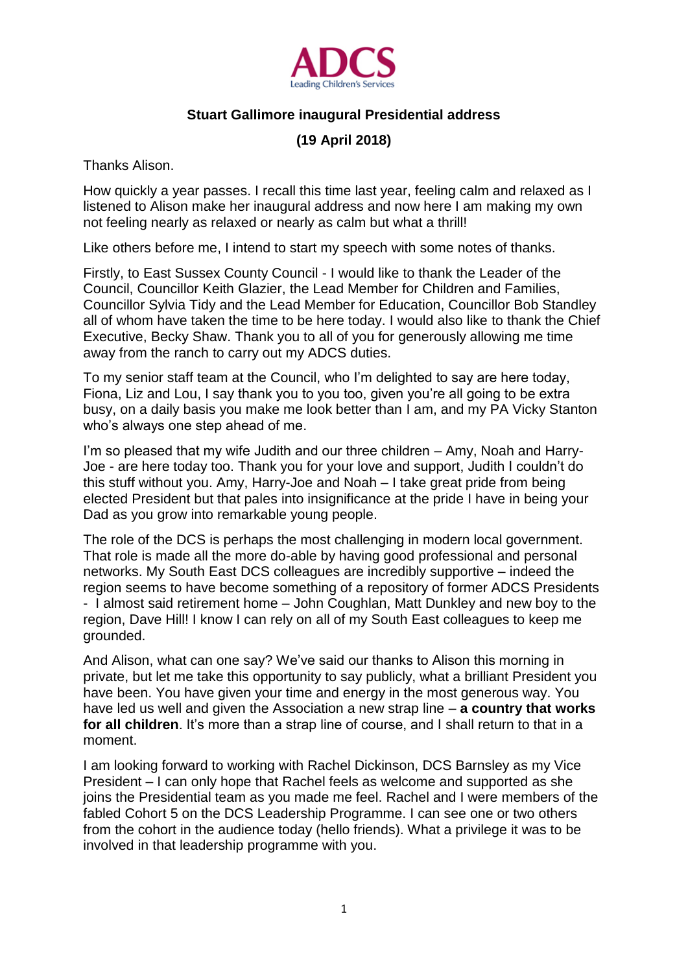

## **Stuart Gallimore inaugural Presidential address**

## **(19 April 2018)**

Thanks Alison.

How quickly a year passes. I recall this time last year, feeling calm and relaxed as I listened to Alison make her inaugural address and now here I am making my own not feeling nearly as relaxed or nearly as calm but what a thrill!

Like others before me, I intend to start my speech with some notes of thanks.

Firstly, to East Sussex County Council - I would like to thank the Leader of the Council, Councillor Keith Glazier, the Lead Member for Children and Families, Councillor Sylvia Tidy and the Lead Member for Education, Councillor Bob Standley all of whom have taken the time to be here today. I would also like to thank the Chief Executive, Becky Shaw. Thank you to all of you for generously allowing me time away from the ranch to carry out my ADCS duties.

To my senior staff team at the Council, who I'm delighted to say are here today, Fiona, Liz and Lou, I say thank you to you too, given you're all going to be extra busy, on a daily basis you make me look better than I am, and my PA Vicky Stanton who's always one step ahead of me.

I'm so pleased that my wife Judith and our three children – Amy, Noah and Harry-Joe - are here today too. Thank you for your love and support, Judith I couldn't do this stuff without you. Amy, Harry-Joe and Noah – I take great pride from being elected President but that pales into insignificance at the pride I have in being your Dad as you grow into remarkable young people.

The role of the DCS is perhaps the most challenging in modern local government. That role is made all the more do-able by having good professional and personal networks. My South East DCS colleagues are incredibly supportive – indeed the region seems to have become something of a repository of former ADCS Presidents - I almost said retirement home – John Coughlan, Matt Dunkley and new boy to the region, Dave Hill! I know I can rely on all of my South East colleagues to keep me grounded.

And Alison, what can one say? We've said our thanks to Alison this morning in private, but let me take this opportunity to say publicly, what a brilliant President you have been. You have given your time and energy in the most generous way. You have led us well and given the Association a new strap line – **a country that works for all children**. It's more than a strap line of course, and I shall return to that in a moment.

I am looking forward to working with Rachel Dickinson, DCS Barnsley as my Vice President – I can only hope that Rachel feels as welcome and supported as she joins the Presidential team as you made me feel. Rachel and I were members of the fabled Cohort 5 on the DCS Leadership Programme. I can see one or two others from the cohort in the audience today (hello friends). What a privilege it was to be involved in that leadership programme with you.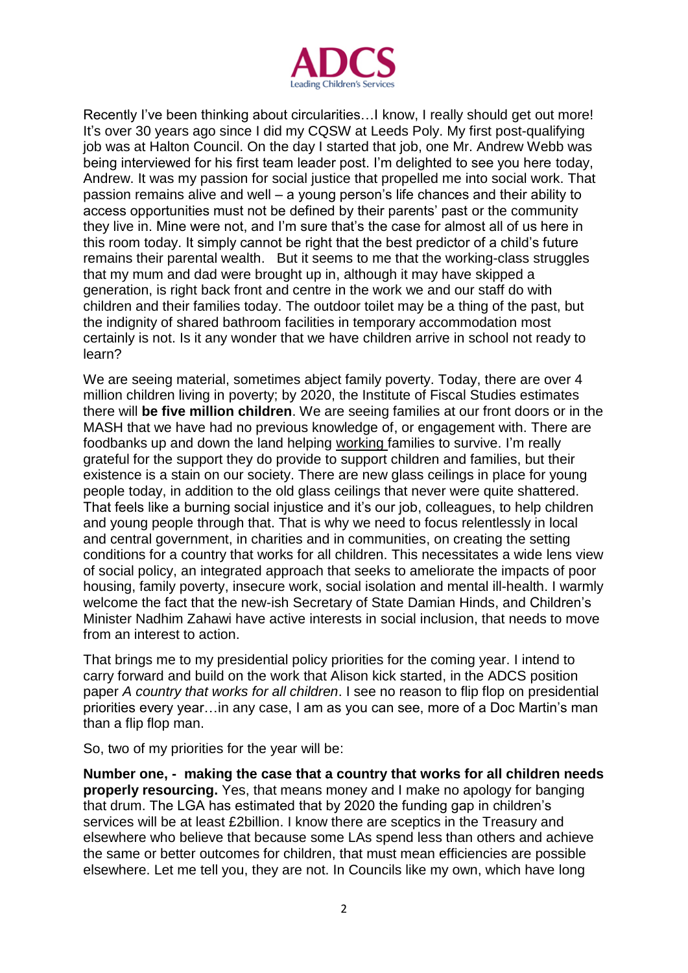

Recently I've been thinking about circularities…I know, I really should get out more! It's over 30 years ago since I did my CQSW at Leeds Poly. My first post-qualifying job was at Halton Council. On the day I started that job, one Mr. Andrew Webb was being interviewed for his first team leader post. I'm delighted to see you here today, Andrew. It was my passion for social justice that propelled me into social work. That passion remains alive and well – a young person's life chances and their ability to access opportunities must not be defined by their parents' past or the community they live in. Mine were not, and I'm sure that's the case for almost all of us here in this room today. It simply cannot be right that the best predictor of a child's future remains their parental wealth. But it seems to me that the working-class struggles that my mum and dad were brought up in, although it may have skipped a generation, is right back front and centre in the work we and our staff do with children and their families today. The outdoor toilet may be a thing of the past, but the indignity of shared bathroom facilities in temporary accommodation most certainly is not. Is it any wonder that we have children arrive in school not ready to learn?

We are seeing material, sometimes abject family poverty. Today, there are over 4 million children living in poverty; by 2020, the Institute of Fiscal Studies estimates there will **be five million children**. We are seeing families at our front doors or in the MASH that we have had no previous knowledge of, or engagement with. There are foodbanks up and down the land helping working families to survive. I'm really grateful for the support they do provide to support children and families, but their existence is a stain on our society. There are new glass ceilings in place for young people today, in addition to the old glass ceilings that never were quite shattered. That feels like a burning social injustice and it's our job, colleagues, to help children and young people through that. That is why we need to focus relentlessly in local and central government, in charities and in communities, on creating the setting conditions for a country that works for all children. This necessitates a wide lens view of social policy, an integrated approach that seeks to ameliorate the impacts of poor housing, family poverty, insecure work, social isolation and mental ill-health. I warmly welcome the fact that the new-ish Secretary of State Damian Hinds, and Children's Minister Nadhim Zahawi have active interests in social inclusion, that needs to move from an interest to action.

That brings me to my presidential policy priorities for the coming year. I intend to carry forward and build on the work that Alison kick started, in the ADCS position paper *A country that works for all children*. I see no reason to flip flop on presidential priorities every year…in any case, I am as you can see, more of a Doc Martin's man than a flip flop man.

So, two of my priorities for the year will be:

**Number one, - making the case that a country that works for all children needs properly resourcing.** Yes, that means money and I make no apology for banging that drum. The LGA has estimated that by 2020 the funding gap in children's services will be at least £2billion. I know there are sceptics in the Treasury and elsewhere who believe that because some LAs spend less than others and achieve the same or better outcomes for children, that must mean efficiencies are possible elsewhere. Let me tell you, they are not. In Councils like my own, which have long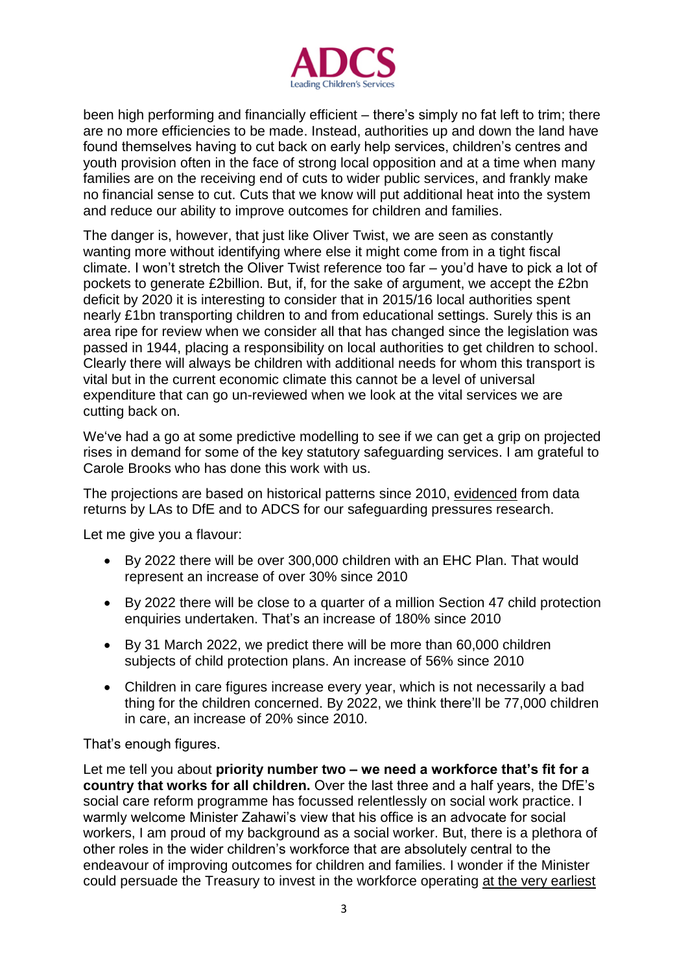

been high performing and financially efficient – there's simply no fat left to trim; there are no more efficiencies to be made. Instead, authorities up and down the land have found themselves having to cut back on early help services, children's centres and youth provision often in the face of strong local opposition and at a time when many families are on the receiving end of cuts to wider public services, and frankly make no financial sense to cut. Cuts that we know will put additional heat into the system and reduce our ability to improve outcomes for children and families.

The danger is, however, that just like Oliver Twist, we are seen as constantly wanting more without identifying where else it might come from in a tight fiscal climate. I won't stretch the Oliver Twist reference too far – you'd have to pick a lot of pockets to generate £2billion. But, if, for the sake of argument, we accept the £2bn deficit by 2020 it is interesting to consider that in [2015/16 local authorities spent](http://adcs.org.uk/funding/article/home-to-school-transport-survey-of-local-authority-spend-2015-16)  [nearly £1bn](http://adcs.org.uk/funding/article/home-to-school-transport-survey-of-local-authority-spend-2015-16) transporting children to and from educational settings. Surely this is an area ripe for review when we consider all that has changed since the legislation was passed in 1944, placing a responsibility on local authorities to get children to school. Clearly there will always be children with additional needs for whom this transport is vital but in the current economic climate this cannot be a level of universal expenditure that can go un-reviewed when we look at the vital services we are cutting back on.

We've had a go at some predictive modelling to see if we can get a grip on projected rises in demand for some of the key statutory safeguarding services. I am grateful to Carole Brooks who has done this work with us.

The projections are based on historical patterns since 2010, evidenced from data returns by LAs to DfE and to ADCS for our safeguarding pressures research.

Let me give you a flavour:

- By 2022 there will be over 300,000 children with an EHC Plan. That would represent an increase of over 30% since 2010
- By 2022 there will be close to a quarter of a million Section 47 child protection enquiries undertaken. That's an increase of 180% since 2010
- By 31 March 2022, we predict there will be more than 60,000 children subjects of child protection plans. An increase of 56% since 2010
- Children in care figures increase every year, which is not necessarily a bad thing for the children concerned. By 2022, we think there'll be 77,000 children in care, an increase of 20% since 2010.

That's enough figures.

Let me tell you about **priority number two – we need a workforce that's fit for a country that works for all children.** Over the last three and a half years, the DfE's social care reform programme has focussed relentlessly on social work practice. I warmly welcome Minister Zahawi's view that his office is an advocate for social workers, I am proud of my background as a social worker. But, there is a plethora of other roles in the wider children's workforce that are absolutely central to the endeavour of improving outcomes for children and families. I wonder if the Minister could persuade the Treasury to invest in the workforce operating at the very earliest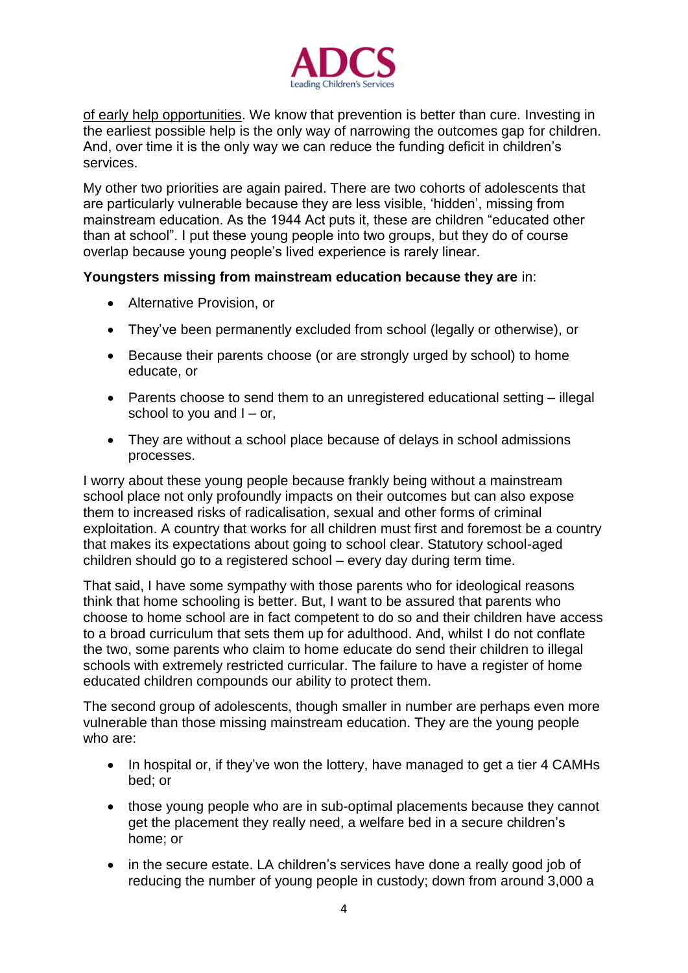

of early help opportunities. We know that prevention is better than cure. Investing in the earliest possible help is the only way of narrowing the outcomes gap for children. And, over time it is the only way we can reduce the funding deficit in children's services.

My other two priorities are again paired. There are two cohorts of adolescents that are particularly vulnerable because they are less visible, 'hidden', missing from mainstream education. As the 1944 Act puts it, these are children "educated other than at school". I put these young people into two groups, but they do of course overlap because young people's lived experience is rarely linear.

## **Youngsters missing from mainstream education because they are** in:

- Alternative Provision, or
- They've been permanently excluded from school (legally or otherwise), or
- Because their parents choose (or are strongly urged by school) to home educate, or
- Parents choose to send them to an unregistered educational setting illegal school to you and  $I - or$ ,
- They are without a school place because of delays in school admissions processes.

I worry about these young people because frankly being without a mainstream school place not only profoundly impacts on their outcomes but can also expose them to increased risks of radicalisation, sexual and other forms of criminal exploitation. A country that works for all children must first and foremost be a country that makes its expectations about going to school clear. Statutory school-aged children should go to a registered school – every day during term time.

That said, I have some sympathy with those parents who for ideological reasons think that home schooling is better. But, I want to be assured that parents who choose to home school are in fact competent to do so and their children have access to a broad curriculum that sets them up for adulthood. And, whilst I do not conflate the two, some parents who claim to home educate do send their children to illegal schools with extremely restricted curricular. The failure to have a register of home educated children compounds our ability to protect them.

The second group of adolescents, though smaller in number are perhaps even more vulnerable than those missing mainstream education. They are the young people who are:

- In hospital or, if they've won the lottery, have managed to get a tier 4 CAMHs bed; or
- those young people who are in sub-optimal placements because they cannot get the placement they really need, a welfare bed in a secure children's home; or
- in the secure estate. LA children's services have done a really good job of reducing the number of young people in custody; down from around 3,000 a